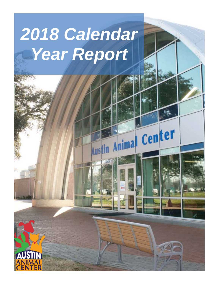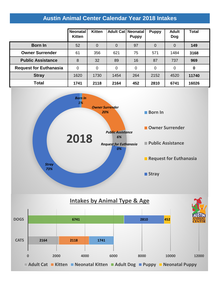# **Austin Animal Center Calendar Year 2018 Intakes**

|                               | Neonatal<br><b>Kitten</b> | <b>Kitten</b>  | <b>Adult Cat Neonatal</b> | <b>Puppy</b> | <b>Puppy</b> | <b>Adult</b><br>Dog | <b>Total</b> |
|-------------------------------|---------------------------|----------------|---------------------------|--------------|--------------|---------------------|--------------|
| <b>Born In</b>                | 52                        | $\overline{0}$ | $\mathbf 0$               | 97           | 0            | 0                   | 149          |
| <b>Owner Surrender</b>        | 61                        | 356            | 621                       | 75           | 571          | 1484                | 3168         |
| <b>Public Assistance</b>      | 8                         | 32             | 89                        | 16           | 87           | 737                 | 969          |
| <b>Request for Euthanasia</b> | 0                         | $\mathbf 0$    | 0                         | 0            | 0            | 0                   | 0            |
| <b>Stray</b>                  | 1620                      | 1730           | 1454                      | 264          | 2152         | 4520                | 11740        |
| <b>Total</b>                  | 1741                      | 2118           | 2164                      | 452          | 2810         | 6741                | 16026        |



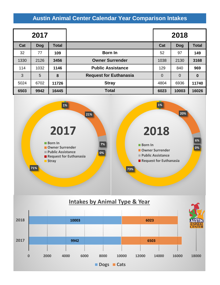## **Austin Animal Center Calendar Year Comparison Intakes**

| 2017 |            |              |                               | 2018           |                |              |  |
|------|------------|--------------|-------------------------------|----------------|----------------|--------------|--|
| Cat  | <b>Dog</b> | <b>Total</b> |                               | Cat            | <b>Dog</b>     | <b>Total</b> |  |
| 32   | 77         | 109          | <b>Born In</b>                | 52             | 97             | 149          |  |
| 1330 | 2126       | 3456         | <b>Owner Surrender</b>        | 1038           | 2130           | 3168         |  |
| 114  | 1032       | 1146         | <b>Public Assistance</b>      | 129            | 840            | 969          |  |
| 3    | 5          | 8            | <b>Request for Euthanasia</b> | $\overline{0}$ | $\overline{0}$ | 0            |  |
| 5024 | 6702       | 11726        | <b>Stray</b>                  | 4804           | 6936           | 11740        |  |
| 6503 | 9942       | 16445        | <b>Total</b>                  | 6023           | 10003          | 16026        |  |



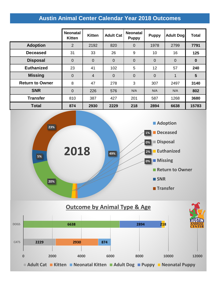# **Austin Animal Center Calendar Year 2018 Outcomes**

|                        | <b>Neonatal</b><br><b>Kitten</b> | <b>Kitten</b>  | <b>Adult Cat</b> | <b>Neonatal</b><br><b>Puppy</b> | <b>Puppy</b>   | <b>Adult Dog</b> | <b>Total</b>   |
|------------------------|----------------------------------|----------------|------------------|---------------------------------|----------------|------------------|----------------|
| <b>Adoption</b>        | $\overline{2}$                   | 2192           | 820              | $\overline{0}$                  | 1978           | 2799             | 7791           |
| <b>Deceased</b>        | 31                               | 33             | 26               | 9                               | 10             | 16               | 125            |
| <b>Disposal</b>        | $\overline{0}$                   | $\overline{0}$ | $\overline{0}$   | $\overline{0}$                  | $\overline{0}$ | $\overline{0}$   | $\mathbf 0$    |
| <b>Euthanized</b>      | 23                               | 41             | 102              | 5                               | 12             | 57               | 240            |
| <b>Missing</b>         | $\overline{0}$                   | $\overline{4}$ | $\overline{0}$   | $\overline{0}$                  | $\overline{0}$ | 1                | $5\phantom{1}$ |
| <b>Return to Owner</b> | 8                                | 47             | 278              | 3                               | 307            | 2497             | 3140           |
| <b>SNR</b>             | $\overline{0}$                   | 226            | 576              | N/A                             | N/A            | N/A              | 802            |
| <b>Transfer</b>        | 810                              | 387            | 427              | 201                             | 587            | 1268             | 3680           |
| <b>Total</b>           | 874                              | 2930           | 2229             | 218                             | 2894           | 6638             | 15783          |



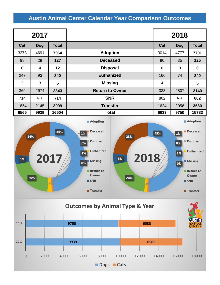## **Austin Animal Center Calendar Year Comparison Outcomes**

| 2017           |            |       |                        | 2018        |             |              |
|----------------|------------|-------|------------------------|-------------|-------------|--------------|
| Cat            | <b>Dog</b> | Total |                        | Cat         | <b>Dog</b>  | <b>Total</b> |
| 3273           | 4691       | 7964  | <b>Adoption</b>        | 3014        | 4777        | 7791         |
| 98             | 29         | 127   | <b>Deceased</b>        | 90          | 35          | 125          |
| 8              | 4          | 12    | <b>Disposal</b>        | $\mathbf 0$ | $\mathbf 0$ | $\bf{0}$     |
| 247            | 93         | 340   | <b>Euthanized</b>      | 166         | 74          | 240          |
| $\overline{2}$ | 3          | 5     | <b>Missing</b>         | 4           | 1           | 5            |
| 369            | 2974       | 3343  | <b>Return to Owner</b> | 333         | 2807        | 3140         |
| 714            | N/A        | 714   | <b>SNR</b>             | 802         | N/A         | 802          |
| 1854           | 2145       | 3999  | <b>Transfer</b>        | 1624        | 2056        | 3680         |
| 6565           | 9939       | 16504 | <b>Total</b>           | 6033        | 9750        | 15783        |